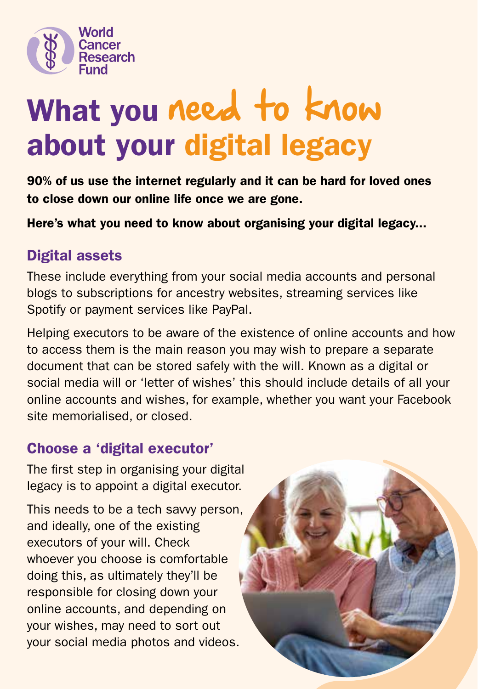

# What you need to know about your digital legacy

90% of us use the internet regularly and it can be hard for loved ones to close down our online life once we are gone.

Here's what you need to know about organising your digital legacy...

## Digital assets

These include everything from your social media accounts and personal blogs to subscriptions for ancestry websites, streaming services like Spotify or payment services like PayPal.

Helping executors to be aware of the existence of online accounts and how to access them is the main reason you may wish to prepare a separate document that can be stored safely with the will. Known as a digital or social media will or 'letter of wishes' this should include details of all your online accounts and wishes, for example, whether you want your Facebook site memorialised, or closed.

### Choose a 'digital executor'

The first step in organising your digital legacy is to appoint a digital executor.

This needs to be a tech savvy person, and ideally, one of the existing executors of your will. Check whoever you choose is comfortable doing this, as ultimately they'll be responsible for closing down your online accounts, and depending on your wishes, may need to sort out your social media photos and videos.